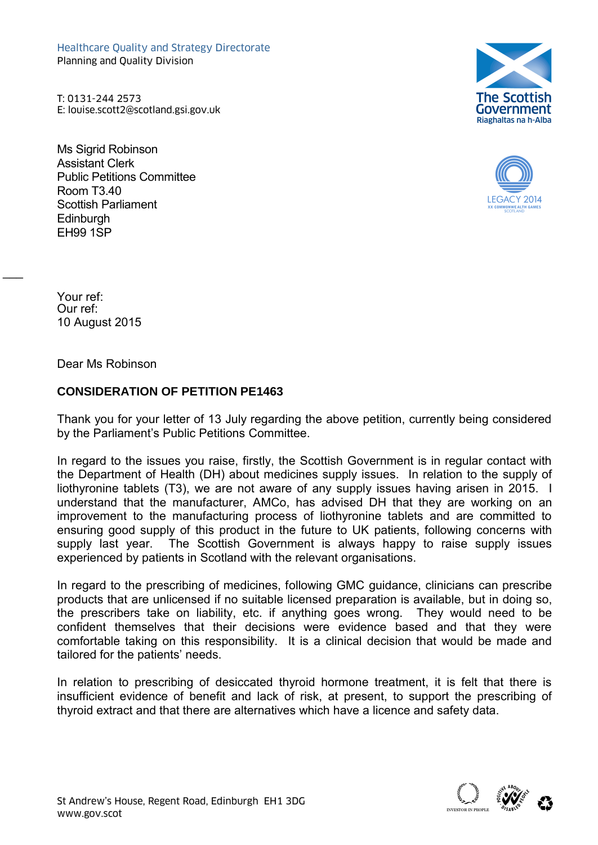Healthcare Quality and Strategy Directorate Planning and Quality Division Healthcare Quality and Strategy Directorate<br>
Planning and Quality Division<br>
T: 0131-244 2573<br>
E: louise.scott2@scotland.gsi.gov.uk<br>
F

T: 0131-244 2573

Ms Sigrid Robinson Assistant Clerk Public Petitions Committee Room T3.40 Scottish Parliament **Edinburgh** EH99 1SP





Your ref: Our ref: 10 August 2015

 $\overline{\phantom{a}}$ 

Dear Ms Robinson

# **CONSIDERATION OF PETITION PE1463**

Thank you for your letter of 13 July regarding the above petition, currently being considered by the Parliament's Public Petitions Committee.

In regard to the issues you raise, firstly, the Scottish Government is in regular contact with the Department of Health (DH) about medicines supply issues. In relation to the supply of liothyronine tablets (T3), we are not aware of any supply issues having arisen in 2015. I understand that the manufacturer, AMCo, has advised DH that they are working on an improvement to the manufacturing process of liothyronine tablets and are committed to ensuring good supply of this product in the future to UK patients, following concerns with supply last year. The Scottish Government is always happy to raise supply issues experienced by patients in Scotland with the relevant organisations.

In regard to the prescribing of medicines, following GMC guidance, clinicians can prescribe products that are unlicensed if no suitable licensed preparation is available, but in doing so, the prescribers take on liability, etc. if anything goes wrong. They would need to be confident themselves that their decisions were evidence based and that they were comfortable taking on this responsibility. It is a clinical decision that would be made and tailored for the patients' needs.

In relation to prescribing of desiccated thyroid hormone treatment, it is felt that there is insufficient evidence of benefit and lack of risk, at present, to support the prescribing of thyroid extract and that there are alternatives which have a licence and safety data.

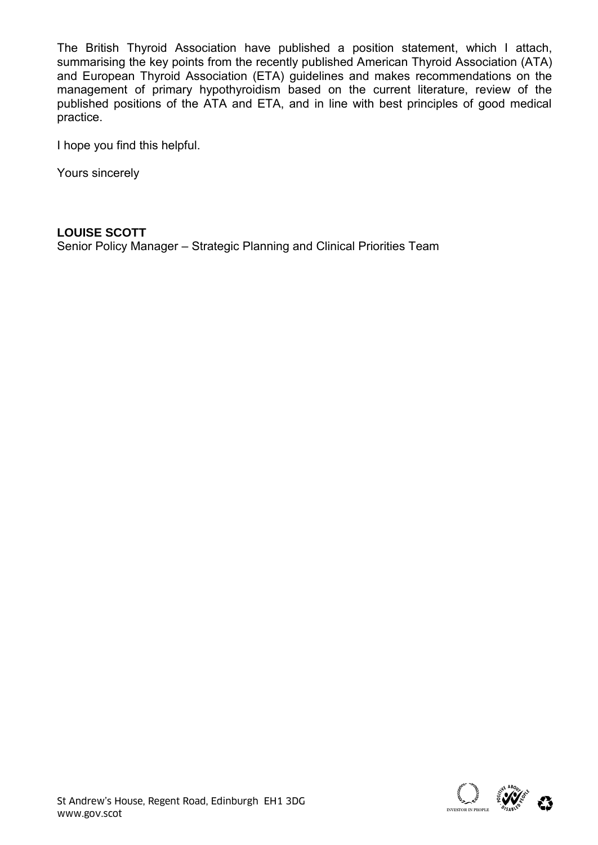The British Thyroid Association have published a position statement, which I attach, summarising the key points from the recently published American Thyroid Association (ATA) and European Thyroid Association (ETA) guidelines and makes recommendations on the management of primary hypothyroidism based on the current literature, review of the published positions of the ATA and ETA, and in line with best principles of good medical practice.

I hope you find this helpful.

Yours sincerely

# **LOUISE SCOTT**

Senior Policy Manager – Strategic Planning and Clinical Priorities Team

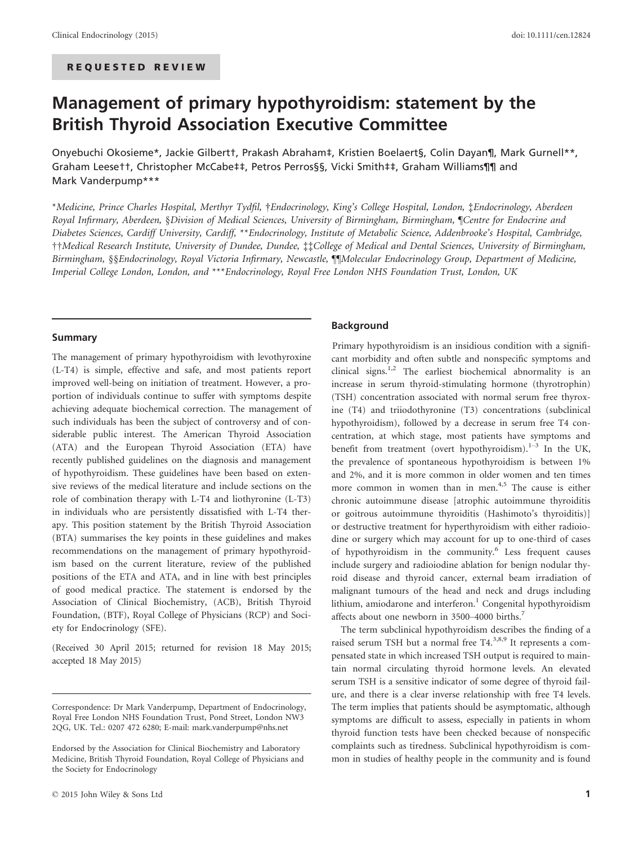## REQUESTED REVIEW

# Management of primary hypothyroidism: statement by the British Thyroid Association Executive Committee

Onyebuchi Okosieme\*, Jackie Gilbert†, Prakash Abraham‡, Kristien Boelaert§, Colin Dayan¶, Mark Gurnell\*\*, Graham Leese††, Christopher McCabe‡‡, Petros Perros§§, Vicki Smith‡‡, Graham Williams¶¶ and Mark Vanderpump\*\*\*

\*Medicine, Prince Charles Hospital, Merthyr Tydfil, †Endocrinology, King's College Hospital, London, ‡Endocrinology, Aberdeen Royal Infirmary, Aberdeen, §Division of Medical Sciences, University of Birmingham, Birmingham, ¶Centre for Endocrine and Diabetes Sciences, Cardiff University, Cardiff, \*\*Endocrinology, Institute of Metabolic Science, Addenbrooke's Hospital, Cambridge, ††Medical Research Institute, University of Dundee, Dundee, ‡‡College of Medical and Dental Sciences, University of Birmingham, Birmingham, §§Endocrinology, Royal Victoria Infirmary, Newcastle, ¶¶Molecular Endocrinology Group, Department of Medicine, Imperial College London, London, and \*\*\*Endocrinology, Royal Free London NHS Foundation Trust, London, UK

#### Summary

The management of primary hypothyroidism with levothyroxine (L-T4) is simple, effective and safe, and most patients report improved well-being on initiation of treatment. However, a proportion of individuals continue to suffer with symptoms despite achieving adequate biochemical correction. The management of such individuals has been the subject of controversy and of considerable public interest. The American Thyroid Association (ATA) and the European Thyroid Association (ETA) have recently published guidelines on the diagnosis and management of hypothyroidism. These guidelines have been based on extensive reviews of the medical literature and include sections on the role of combination therapy with L-T4 and liothyronine (L-T3) in individuals who are persistently dissatisfied with L-T4 therapy. This position statement by the British Thyroid Association (BTA) summarises the key points in these guidelines and makes recommendations on the management of primary hypothyroidism based on the current literature, review of the published positions of the ETA and ATA, and in line with best principles of good medical practice. The statement is endorsed by the Association of Clinical Biochemistry, (ACB), British Thyroid Foundation, (BTF), Royal College of Physicians (RCP) and Society for Endocrinology (SFE).

(Received 30 April 2015; returned for revision 18 May 2015; accepted 18 May 2015)

#### Background

Primary hypothyroidism is an insidious condition with a significant morbidity and often subtle and nonspecific symptoms and clinical signs.1,2 The earliest biochemical abnormality is an increase in serum thyroid-stimulating hormone (thyrotrophin) (TSH) concentration associated with normal serum free thyroxine (T4) and triiodothyronine (T3) concentrations (subclinical hypothyroidism), followed by a decrease in serum free T4 concentration, at which stage, most patients have symptoms and benefit from treatment (overt hypothyroidism).<sup>1-3</sup> In the UK, the prevalence of spontaneous hypothyroidism is between 1% and 2%, and it is more common in older women and ten times more common in women than in men.<sup>4,5</sup> The cause is either chronic autoimmune disease [atrophic autoimmune thyroiditis or goitrous autoimmune thyroiditis (Hashimoto's thyroiditis)] or destructive treatment for hyperthyroidism with either radioiodine or surgery which may account for up to one-third of cases of hypothyroidism in the community.<sup>6</sup> Less frequent causes include surgery and radioiodine ablation for benign nodular thyroid disease and thyroid cancer, external beam irradiation of malignant tumours of the head and neck and drugs including lithium, amiodarone and interferon.<sup>1</sup> Congenital hypothyroidism affects about one newborn in 3500-4000 births.<sup>7</sup>

The term subclinical hypothyroidism describes the finding of a raised serum TSH but a normal free T4.<sup>3,8,9</sup> It represents a compensated state in which increased TSH output is required to maintain normal circulating thyroid hormone levels. An elevated serum TSH is a sensitive indicator of some degree of thyroid failure, and there is a clear inverse relationship with free T4 levels. The term implies that patients should be asymptomatic, although symptoms are difficult to assess, especially in patients in whom thyroid function tests have been checked because of nonspecific complaints such as tiredness. Subclinical hypothyroidism is common in studies of healthy people in the community and is found

Correspondence: Dr Mark Vanderpump, Department of Endocrinology, Royal Free London NHS Foundation Trust, Pond Street, London NW3 2QG, UK. Tel.: 0207 472 6280; E-mail: mark.vanderpump@nhs.net

Endorsed by the Association for Clinical Biochemistry and Laboratory Medicine, British Thyroid Foundation, Royal College of Physicians and the Society for Endocrinology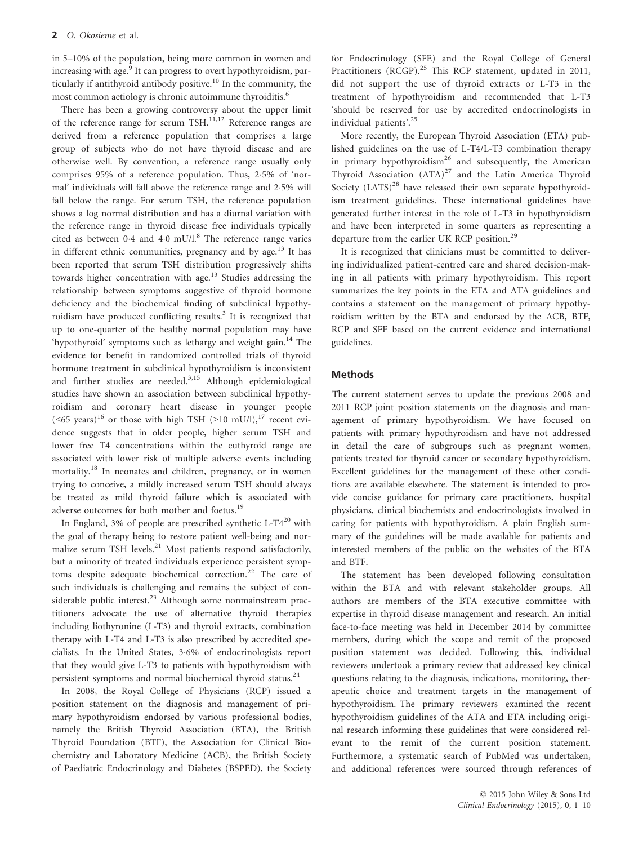in 5–10% of the population, being more common in women and increasing with age.<sup>9</sup> It can progress to overt hypothyroidism, particularly if antithyroid antibody positive.<sup>10</sup> In the community, the most common aetiology is chronic autoimmune thyroiditis.<sup>6</sup>

There has been a growing controversy about the upper limit of the reference range for serum TSH.<sup>11,12</sup> Reference ranges are derived from a reference population that comprises a large group of subjects who do not have thyroid disease and are otherwise well. By convention, a reference range usually only comprises 95% of a reference population. Thus, 25% of 'normal' individuals will fall above the reference range and 25% will fall below the range. For serum TSH, the reference population shows a log normal distribution and has a diurnal variation with the reference range in thyroid disease free individuals typically cited as between 0.4 and 4.0 mU/l.<sup>8</sup> The reference range varies in different ethnic communities, pregnancy and by age. $^{13}$  It has been reported that serum TSH distribution progressively shifts towards higher concentration with age.<sup>13</sup> Studies addressing the relationship between symptoms suggestive of thyroid hormone deficiency and the biochemical finding of subclinical hypothyroidism have produced conflicting results.<sup>3</sup> It is recognized that up to one-quarter of the healthy normal population may have 'hypothyroid' symptoms such as lethargy and weight gain.<sup>14</sup> The evidence for benefit in randomized controlled trials of thyroid hormone treatment in subclinical hypothyroidism is inconsistent and further studies are needed.<sup>3,15</sup> Although epidemiological studies have shown an association between subclinical hypothyroidism and coronary heart disease in younger people  $(<65$  years)<sup>16</sup> or those with high TSH (>10 mU/l),<sup>17</sup> recent evidence suggests that in older people, higher serum TSH and lower free T4 concentrations within the euthyroid range are associated with lower risk of multiple adverse events including mortality.<sup>18</sup> In neonates and children, pregnancy, or in women trying to conceive, a mildly increased serum TSH should always be treated as mild thyroid failure which is associated with adverse outcomes for both mother and foetus.<sup>19</sup>

In England, 3% of people are prescribed synthetic  $L-T4^{20}$  with the goal of therapy being to restore patient well-being and normalize serum TSH levels.<sup>21</sup> Most patients respond satisfactorily, but a minority of treated individuals experience persistent symptoms despite adequate biochemical correction.<sup>22</sup> The care of such individuals is challenging and remains the subject of considerable public interest.<sup>23</sup> Although some nonmainstream practitioners advocate the use of alternative thyroid therapies including liothyronine (L-T3) and thyroid extracts, combination therapy with L-T4 and L-T3 is also prescribed by accredited specialists. In the United States, 36% of endocrinologists report that they would give L-T3 to patients with hypothyroidism with persistent symptoms and normal biochemical thyroid status.<sup>24</sup>

In 2008, the Royal College of Physicians (RCP) issued a position statement on the diagnosis and management of primary hypothyroidism endorsed by various professional bodies, namely the British Thyroid Association (BTA), the British Thyroid Foundation (BTF), the Association for Clinical Biochemistry and Laboratory Medicine (ACB), the British Society of Paediatric Endocrinology and Diabetes (BSPED), the Society

for Endocrinology (SFE) and the Royal College of General Practitioners (RCGP).<sup>25</sup> This RCP statement, updated in 2011, did not support the use of thyroid extracts or L-T3 in the treatment of hypothyroidism and recommended that L-T3 'should be reserved for use by accredited endocrinologists in individual patients'.<sup>25</sup>

More recently, the European Thyroid Association (ETA) published guidelines on the use of L-T4/L-T3 combination therapy in primary hypothyroidism<sup>26</sup> and subsequently, the American Thyroid Association  $(ATA)^{27}$  and the Latin America Thyroid Society  $(LATS)^{28}$  have released their own separate hypothyroidism treatment guidelines. These international guidelines have generated further interest in the role of L-T3 in hypothyroidism and have been interpreted in some quarters as representing a departure from the earlier UK RCP position.<sup>29</sup>

It is recognized that clinicians must be committed to delivering individualized patient-centred care and shared decision-making in all patients with primary hypothyroidism. This report summarizes the key points in the ETA and ATA guidelines and contains a statement on the management of primary hypothyroidism written by the BTA and endorsed by the ACB, BTF, RCP and SFE based on the current evidence and international guidelines.

#### Methods

The current statement serves to update the previous 2008 and 2011 RCP joint position statements on the diagnosis and management of primary hypothyroidism. We have focused on patients with primary hypothyroidism and have not addressed in detail the care of subgroups such as pregnant women, patients treated for thyroid cancer or secondary hypothyroidism. Excellent guidelines for the management of these other conditions are available elsewhere. The statement is intended to provide concise guidance for primary care practitioners, hospital physicians, clinical biochemists and endocrinologists involved in caring for patients with hypothyroidism. A plain English summary of the guidelines will be made available for patients and interested members of the public on the websites of the BTA and BTF.

The statement has been developed following consultation within the BTA and with relevant stakeholder groups. All authors are members of the BTA executive committee with expertise in thyroid disease management and research. An initial face-to-face meeting was held in December 2014 by committee members, during which the scope and remit of the proposed position statement was decided. Following this, individual reviewers undertook a primary review that addressed key clinical questions relating to the diagnosis, indications, monitoring, therapeutic choice and treatment targets in the management of hypothyroidism. The primary reviewers examined the recent hypothyroidism guidelines of the ATA and ETA including original research informing these guidelines that were considered relevant to the remit of the current position statement. Furthermore, a systematic search of PubMed was undertaken, and additional references were sourced through references of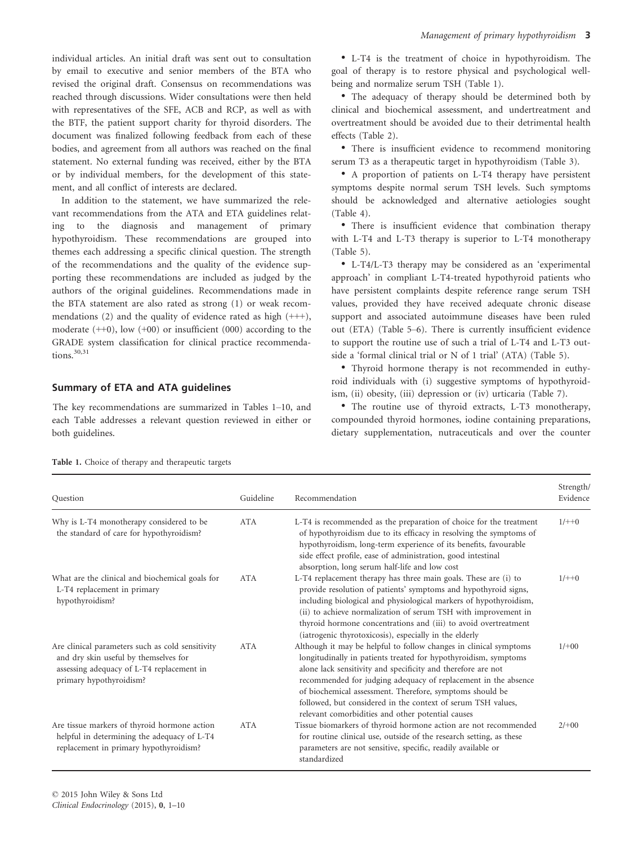individual articles. An initial draft was sent out to consultation by email to executive and senior members of the BTA who revised the original draft. Consensus on recommendations was reached through discussions. Wider consultations were then held with representatives of the SFE, ACB and RCP, as well as with the BTF, the patient support charity for thyroid disorders. The document was finalized following feedback from each of these bodies, and agreement from all authors was reached on the final statement. No external funding was received, either by the BTA or by individual members, for the development of this statement, and all conflict of interests are declared.

In addition to the statement, we have summarized the relevant recommendations from the ATA and ETA guidelines relating to the diagnosis and management of primary hypothyroidism. These recommendations are grouped into themes each addressing a specific clinical question. The strength of the recommendations and the quality of the evidence supporting these recommendations are included as judged by the authors of the original guidelines. Recommendations made in the BTA statement are also rated as strong (1) or weak recommendations (2) and the quality of evidence rated as high  $(++)$ , moderate  $(+0)$ , low  $(+00)$  or insufficient  $(000)$  according to the GRADE system classification for clinical practice recommendations.<sup>30,31</sup>

#### Summary of ETA and ATA guidelines

The key recommendations are summarized in Tables 1–10, and each Table addresses a relevant question reviewed in either or both guidelines.

• L-T4 is the treatment of choice in hypothyroidism. The goal of therapy is to restore physical and psychological wellbeing and normalize serum TSH (Table 1).

• The adequacy of therapy should be determined both by clinical and biochemical assessment, and undertreatment and overtreatment should be avoided due to their detrimental health effects (Table 2).

• There is insufficient evidence to recommend monitoring serum T3 as a therapeutic target in hypothyroidism (Table 3).

• A proportion of patients on L-T4 therapy have persistent symptoms despite normal serum TSH levels. Such symptoms should be acknowledged and alternative aetiologies sought (Table 4).

• There is insufficient evidence that combination therapy with L-T4 and L-T3 therapy is superior to L-T4 monotherapy (Table 5).

• L-T4/L-T3 therapy may be considered as an 'experimental approach' in compliant L-T4-treated hypothyroid patients who have persistent complaints despite reference range serum TSH values, provided they have received adequate chronic disease support and associated autoimmune diseases have been ruled out (ETA) (Table 5–6). There is currently insufficient evidence to support the routine use of such a trial of L-T4 and L-T3 outside a 'formal clinical trial or N of 1 trial' (ATA) (Table 5).

• Thyroid hormone therapy is not recommended in euthyroid individuals with (i) suggestive symptoms of hypothyroidism, (ii) obesity, (iii) depression or (iv) urticaria (Table 7).

• The routine use of thyroid extracts, L-T3 monotherapy, compounded thyroid hormones, iodine containing preparations, dietary supplementation, nutraceuticals and over the counter

| Question                                                                                                                                                          | Guideline  | Recommendation                                                                                                                                                                                                                                                                                                                                                                                                                                          | Strength/<br>Evidence |
|-------------------------------------------------------------------------------------------------------------------------------------------------------------------|------------|---------------------------------------------------------------------------------------------------------------------------------------------------------------------------------------------------------------------------------------------------------------------------------------------------------------------------------------------------------------------------------------------------------------------------------------------------------|-----------------------|
| Why is L-T4 monotherapy considered to be<br>the standard of care for hypothyroidism?                                                                              | <b>ATA</b> | L-T4 is recommended as the preparation of choice for the treatment<br>of hypothyroidism due to its efficacy in resolving the symptoms of<br>hypothyroidism, long-term experience of its benefits, favourable<br>side effect profile, ease of administration, good intestinal<br>absorption, long serum half-life and low cost                                                                                                                           | $1/++0$               |
| What are the clinical and biochemical goals for<br>L-T4 replacement in primary<br>hypothyroidism?                                                                 | <b>ATA</b> | L-T4 replacement therapy has three main goals. These are (i) to<br>provide resolution of patients' symptoms and hypothyroid signs,<br>including biological and physiological markers of hypothyroidism,<br>(ii) to achieve normalization of serum TSH with improvement in<br>thyroid hormone concentrations and (iii) to avoid overtreatment<br>(iatrogenic thyrotoxicosis), especially in the elderly                                                  | $1/++0$               |
| Are clinical parameters such as cold sensitivity<br>and dry skin useful by themselves for<br>assessing adequacy of L-T4 replacement in<br>primary hypothyroidism? | <b>ATA</b> | Although it may be helpful to follow changes in clinical symptoms<br>longitudinally in patients treated for hypothyroidism, symptoms<br>alone lack sensitivity and specificity and therefore are not<br>recommended for judging adequacy of replacement in the absence<br>of biochemical assessment. Therefore, symptoms should be<br>followed, but considered in the context of serum TSH values,<br>relevant comorbidities and other potential causes | $1/+00$               |
| Are tissue markers of thyroid hormone action<br>helpful in determining the adequacy of L-T4<br>replacement in primary hypothyroidism?                             | <b>ATA</b> | Tissue biomarkers of thyroid hormone action are not recommended<br>for routine clinical use, outside of the research setting, as these<br>parameters are not sensitive, specific, readily available or<br>standardized                                                                                                                                                                                                                                  | $2/+00$               |

Table 1. Choice of therapy and therapeutic targets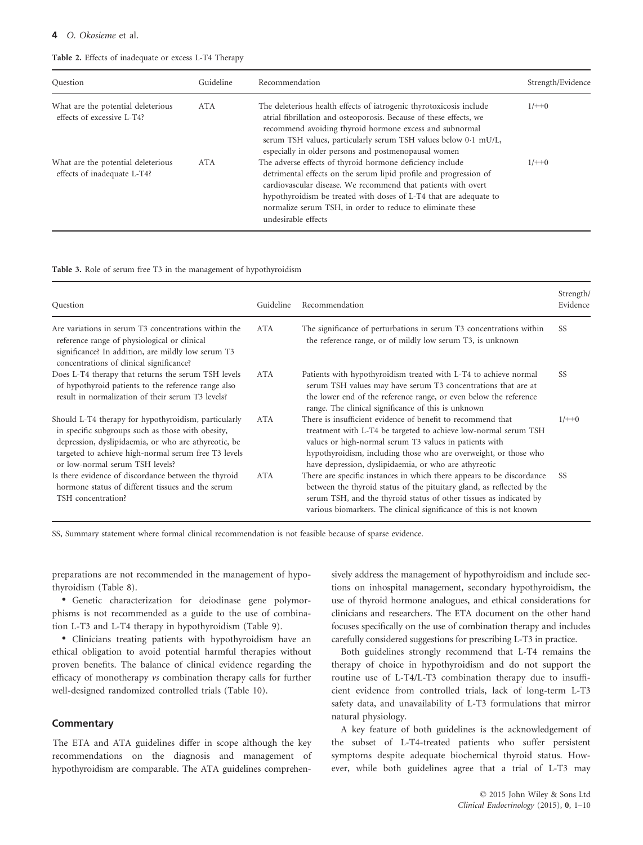#### 4 O. Okosieme et al.

|  |  |  |  | Table 2. Effects of inadequate or excess L-T4 Therapy |  |  |  |  |
|--|--|--|--|-------------------------------------------------------|--|--|--|--|
|--|--|--|--|-------------------------------------------------------|--|--|--|--|

| Question                                                          | Guideline  | Recommendation                                                                                                                                                                                                                                                                                                                                            | Strength/Evidence |
|-------------------------------------------------------------------|------------|-----------------------------------------------------------------------------------------------------------------------------------------------------------------------------------------------------------------------------------------------------------------------------------------------------------------------------------------------------------|-------------------|
| What are the potential deleterious<br>effects of excessive L-T4?  | ATA        | The deleterious health effects of iatrogenic thyrotoxicosis include<br>atrial fibrillation and osteoporosis. Because of these effects, we<br>recommend avoiding thyroid hormone excess and subnormal<br>serum TSH values, particularly serum TSH values below 0.1 mU/L,<br>especially in older persons and postmenopausal women                           | $1/++0$           |
| What are the potential deleterious<br>effects of inadequate L-T4? | <b>ATA</b> | The adverse effects of thyroid hormone deficiency include<br>detrimental effects on the serum lipid profile and progression of<br>cardiovascular disease. We recommend that patients with overt<br>hypothyroidism be treated with doses of L-T4 that are adequate to<br>normalize serum TSH, in order to reduce to eliminate these<br>undesirable effects | $1/++0$           |

|  |  |  |  |  |  |  |  |  | Table 3. Role of serum free T3 in the management of hypothyroidism |  |  |  |  |  |  |
|--|--|--|--|--|--|--|--|--|--------------------------------------------------------------------|--|--|--|--|--|--|
|--|--|--|--|--|--|--|--|--|--------------------------------------------------------------------|--|--|--|--|--|--|

| Question                                                                                                                                                                                                                                                     | Guideline  | Recommendation                                                                                                                                                                                                                                                                                                        | Strength/<br>Evidence |
|--------------------------------------------------------------------------------------------------------------------------------------------------------------------------------------------------------------------------------------------------------------|------------|-----------------------------------------------------------------------------------------------------------------------------------------------------------------------------------------------------------------------------------------------------------------------------------------------------------------------|-----------------------|
| Are variations in serum T <sub>3</sub> concentrations within the<br>reference range of physiological or clinical<br>significance? In addition, are mildly low serum T3<br>concentrations of clinical significance?                                           | <b>ATA</b> | The significance of perturbations in serum T3 concentrations within<br>the reference range, or of mildly low serum T3, is unknown                                                                                                                                                                                     | <b>SS</b>             |
| Does L-T4 therapy that returns the serum TSH levels<br>of hypothyroid patients to the reference range also<br>result in normalization of their serum T3 levels?                                                                                              | <b>ATA</b> | Patients with hypothyroidism treated with L-T4 to achieve normal<br>serum TSH values may have serum T3 concentrations that are at<br>the lower end of the reference range, or even below the reference<br>range. The clinical significance of this is unknown                                                         | <b>SS</b>             |
| Should L-T4 therapy for hypothyroidism, particularly<br>in specific subgroups such as those with obesity,<br>depression, dyslipidaemia, or who are athyreotic, be<br>targeted to achieve high-normal serum free T3 levels<br>or low-normal serum TSH levels? | ATA        | There is insufficient evidence of benefit to recommend that<br>treatment with L-T4 be targeted to achieve low-normal serum TSH<br>values or high-normal serum T3 values in patients with<br>hypothyroidism, including those who are overweight, or those who<br>have depression, dyslipidaemia, or who are athyreotic | $1/++0$               |
| Is there evidence of discordance between the thyroid<br>hormone status of different tissues and the serum<br>TSH concentration?                                                                                                                              | ATA        | There are specific instances in which there appears to be discordance<br>between the thyroid status of the pituitary gland, as reflected by the<br>serum TSH, and the thyroid status of other tissues as indicated by<br>various biomarkers. The clinical significance of this is not known                           | SS                    |

SS, Summary statement where formal clinical recommendation is not feasible because of sparse evidence.

preparations are not recommended in the management of hypothyroidism (Table 8).

• Genetic characterization for deiodinase gene polymorphisms is not recommended as a guide to the use of combination L-T3 and L-T4 therapy in hypothyroidism (Table 9).

• Clinicians treating patients with hypothyroidism have an ethical obligation to avoid potential harmful therapies without proven benefits. The balance of clinical evidence regarding the efficacy of monotherapy vs combination therapy calls for further well-designed randomized controlled trials (Table 10).

#### **Commentary**

The ETA and ATA guidelines differ in scope although the key recommendations on the diagnosis and management of hypothyroidism are comparable. The ATA guidelines comprehensively address the management of hypothyroidism and include sections on inhospital management, secondary hypothyroidism, the use of thyroid hormone analogues, and ethical considerations for clinicians and researchers. The ETA document on the other hand focuses specifically on the use of combination therapy and includes carefully considered suggestions for prescribing L-T3 in practice.

Both guidelines strongly recommend that L-T4 remains the therapy of choice in hypothyroidism and do not support the routine use of L-T4/L-T3 combination therapy due to insufficient evidence from controlled trials, lack of long-term L-T3 safety data, and unavailability of L-T3 formulations that mirror natural physiology.

A key feature of both guidelines is the acknowledgement of the subset of L-T4-treated patients who suffer persistent symptoms despite adequate biochemical thyroid status. However, while both guidelines agree that a trial of L-T3 may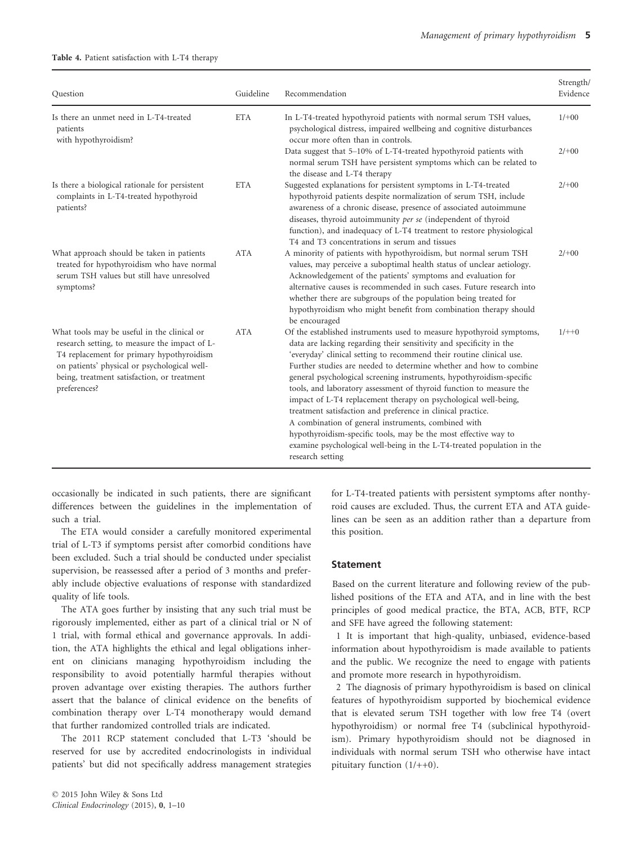#### Table 4. Patient satisfaction with L-T4 therapy

| Question                                                                                                                                                                                                                                                 | Guideline  | Recommendation                                                                                                                                                                                                                                                                                                                                                                                                                                                                                                                                                                                                                                                                                                                                                                                     | Strength/<br>Evidence |  |  |  |
|----------------------------------------------------------------------------------------------------------------------------------------------------------------------------------------------------------------------------------------------------------|------------|----------------------------------------------------------------------------------------------------------------------------------------------------------------------------------------------------------------------------------------------------------------------------------------------------------------------------------------------------------------------------------------------------------------------------------------------------------------------------------------------------------------------------------------------------------------------------------------------------------------------------------------------------------------------------------------------------------------------------------------------------------------------------------------------------|-----------------------|--|--|--|
| Is there an unmet need in L-T4-treated<br>patients<br>with hypothyroidism?                                                                                                                                                                               | <b>ETA</b> | In L-T4-treated hypothyroid patients with normal serum TSH values,<br>psychological distress, impaired wellbeing and cognitive disturbances<br>occur more often than in controls.                                                                                                                                                                                                                                                                                                                                                                                                                                                                                                                                                                                                                  |                       |  |  |  |
|                                                                                                                                                                                                                                                          |            | Data suggest that 5-10% of L-T4-treated hypothyroid patients with<br>normal serum TSH have persistent symptoms which can be related to<br>the disease and L-T4 therapy                                                                                                                                                                                                                                                                                                                                                                                                                                                                                                                                                                                                                             | $2/+00$               |  |  |  |
| Is there a biological rationale for persistent<br>complaints in L-T4-treated hypothyroid<br>patients?                                                                                                                                                    | <b>ETA</b> | Suggested explanations for persistent symptoms in L-T4-treated<br>hypothyroid patients despite normalization of serum TSH, include<br>awareness of a chronic disease, presence of associated autoimmune<br>diseases, thyroid autoimmunity per se (independent of thyroid<br>function), and inadequacy of L-T4 treatment to restore physiological<br>T4 and T3 concentrations in serum and tissues                                                                                                                                                                                                                                                                                                                                                                                                  | $2/+00$               |  |  |  |
| What approach should be taken in patients<br>treated for hypothyroidism who have normal<br>serum TSH values but still have unresolved<br>symptoms?                                                                                                       | <b>ATA</b> | A minority of patients with hypothyroidism, but normal serum TSH<br>values, may perceive a suboptimal health status of unclear aetiology.<br>Acknowledgement of the patients' symptoms and evaluation for<br>alternative causes is recommended in such cases. Future research into<br>whether there are subgroups of the population being treated for<br>hypothyroidism who might benefit from combination therapy should<br>be encouraged                                                                                                                                                                                                                                                                                                                                                         | $2/+00$               |  |  |  |
| What tools may be useful in the clinical or<br>research setting, to measure the impact of L-<br>T4 replacement for primary hypothyroidism<br>on patients' physical or psychological well-<br>being, treatment satisfaction, or treatment<br>preferences? | <b>ATA</b> | Of the established instruments used to measure hypothyroid symptoms,<br>data are lacking regarding their sensitivity and specificity in the<br>'everyday' clinical setting to recommend their routine clinical use.<br>Further studies are needed to determine whether and how to combine<br>general psychological screening instruments, hypothyroidism-specific<br>tools, and laboratory assessment of thyroid function to measure the<br>impact of L-T4 replacement therapy on psychological well-being,<br>treatment satisfaction and preference in clinical practice.<br>A combination of general instruments, combined with<br>hypothyroidism-specific tools, may be the most effective way to<br>examine psychological well-being in the L-T4-treated population in the<br>research setting | $1/++0$               |  |  |  |

occasionally be indicated in such patients, there are significant differences between the guidelines in the implementation of such a trial.

The ETA would consider a carefully monitored experimental trial of L-T3 if symptoms persist after comorbid conditions have been excluded. Such a trial should be conducted under specialist supervision, be reassessed after a period of 3 months and preferably include objective evaluations of response with standardized quality of life tools.

The ATA goes further by insisting that any such trial must be rigorously implemented, either as part of a clinical trial or N of 1 trial, with formal ethical and governance approvals. In addition, the ATA highlights the ethical and legal obligations inherent on clinicians managing hypothyroidism including the responsibility to avoid potentially harmful therapies without proven advantage over existing therapies. The authors further assert that the balance of clinical evidence on the benefits of combination therapy over L-T4 monotherapy would demand that further randomized controlled trials are indicated.

The 2011 RCP statement concluded that L-T3 'should be reserved for use by accredited endocrinologists in individual patients' but did not specifically address management strategies for L-T4-treated patients with persistent symptoms after nonthyroid causes are excluded. Thus, the current ETA and ATA guidelines can be seen as an addition rather than a departure from this position.

#### **Statement**

Based on the current literature and following review of the published positions of the ETA and ATA, and in line with the best principles of good medical practice, the BTA, ACB, BTF, RCP and SFE have agreed the following statement:

1 It is important that high-quality, unbiased, evidence-based information about hypothyroidism is made available to patients and the public. We recognize the need to engage with patients and promote more research in hypothyroidism.

2 The diagnosis of primary hypothyroidism is based on clinical features of hypothyroidism supported by biochemical evidence that is elevated serum TSH together with low free T4 (overt hypothyroidism) or normal free T4 (subclinical hypothyroidism). Primary hypothyroidism should not be diagnosed in individuals with normal serum TSH who otherwise have intact pituitary function (1/++0).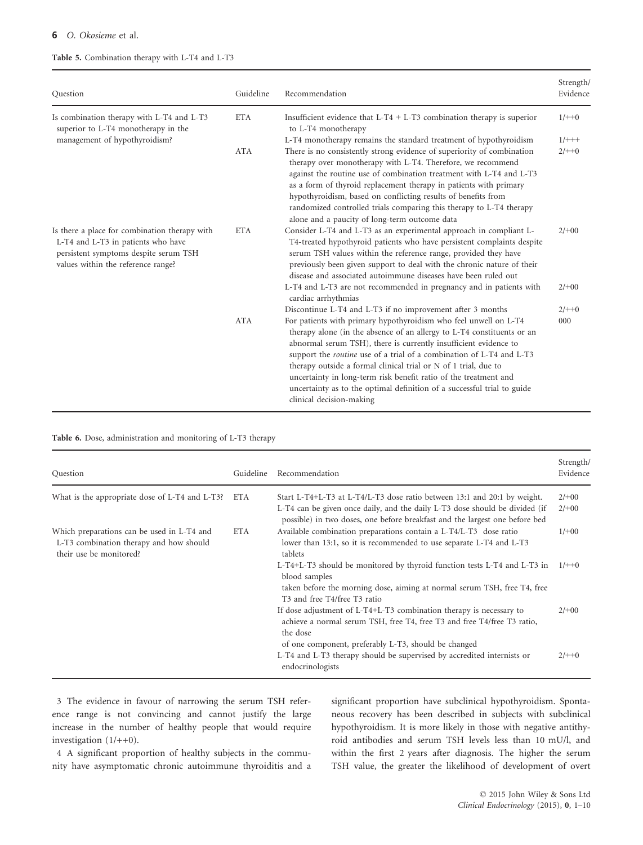#### 6 O. Okosieme et al.

#### Table 5. Combination therapy with L-T4 and L-T3

| Ouestion                                                                                                                                                           | Guideline  | Recommendation                                                                                                                                                                                                                                                                                                                                                                                                                                                                                                                              | Strength/<br>Evidence |
|--------------------------------------------------------------------------------------------------------------------------------------------------------------------|------------|---------------------------------------------------------------------------------------------------------------------------------------------------------------------------------------------------------------------------------------------------------------------------------------------------------------------------------------------------------------------------------------------------------------------------------------------------------------------------------------------------------------------------------------------|-----------------------|
| Is combination therapy with L-T4 and L-T3<br>superior to L-T4 monotherapy in the                                                                                   | <b>ETA</b> | Insufficient evidence that $L-T4 + L-T3$ combination therapy is superior<br>to L-T4 monotherapy                                                                                                                                                                                                                                                                                                                                                                                                                                             | $1/++0$               |
| management of hypothyroidism?                                                                                                                                      |            | L-T4 monotherapy remains the standard treatment of hypothyroidism                                                                                                                                                                                                                                                                                                                                                                                                                                                                           | $1/+++$               |
|                                                                                                                                                                    | <b>ATA</b> | There is no consistently strong evidence of superiority of combination<br>therapy over monotherapy with L-T4. Therefore, we recommend<br>against the routine use of combination treatment with L-T4 and L-T3<br>as a form of thyroid replacement therapy in patients with primary<br>hypothyroidism, based on conflicting results of benefits from<br>randomized controlled trials comparing this therapy to L-T4 therapy<br>alone and a paucity of long-term outcome data                                                                  | $2/++0$               |
| Is there a place for combination therapy with<br>L-T4 and L-T3 in patients who have<br>persistent symptoms despite serum TSH<br>values within the reference range? | <b>ETA</b> | Consider L-T4 and L-T3 as an experimental approach in compliant L-<br>T4-treated hypothyroid patients who have persistent complaints despite<br>serum TSH values within the reference range, provided they have<br>previously been given support to deal with the chronic nature of their<br>disease and associated autoimmune diseases have been ruled out<br>L-T4 and L-T3 are not recommended in pregnancy and in patients with                                                                                                          | $2/+00$<br>$2/+00$    |
|                                                                                                                                                                    |            | cardiac arrhythmias                                                                                                                                                                                                                                                                                                                                                                                                                                                                                                                         |                       |
|                                                                                                                                                                    |            | Discontinue L-T4 and L-T3 if no improvement after 3 months                                                                                                                                                                                                                                                                                                                                                                                                                                                                                  | $2/++0$               |
|                                                                                                                                                                    | <b>ATA</b> | For patients with primary hypothyroidism who feel unwell on L-T4<br>therapy alone (in the absence of an allergy to L-T4 constituents or an<br>abnormal serum TSH), there is currently insufficient evidence to<br>support the <i>routine</i> use of a trial of a combination of L-T4 and L-T3<br>therapy outside a formal clinical trial or N of 1 trial, due to<br>uncertainty in long-term risk benefit ratio of the treatment and<br>uncertainty as to the optimal definition of a successful trial to guide<br>clinical decision-making | 000                   |

Table 6. Dose, administration and monitoring of L-T3 therapy

| Question                                                                                                         | Guideline  | Recommendation                                                                                                                                                                                                                     | Strength/<br>Evidence |
|------------------------------------------------------------------------------------------------------------------|------------|------------------------------------------------------------------------------------------------------------------------------------------------------------------------------------------------------------------------------------|-----------------------|
| What is the appropriate dose of L-T4 and L-T3?                                                                   | ETA        | Start L-T4+L-T3 at L-T4/L-T3 dose ratio between 13:1 and 20:1 by weight.<br>L-T4 can be given once daily, and the daily L-T3 dose should be divided (if                                                                            | $2/+00$<br>$2/+00$    |
| Which preparations can be used in L-T4 and<br>L-T3 combination therapy and how should<br>their use be monitored? | <b>ETA</b> | possible) in two doses, one before breakfast and the largest one before bed<br>Available combination preparations contain a L-T4/L-T3 dose ratio<br>lower than 13:1, so it is recommended to use separate L-T4 and L-T3<br>tablets | $1/+00$               |
|                                                                                                                  |            | L-T4+L-T3 should be monitored by thyroid function tests L-T4 and L-T3 in<br>blood samples<br>taken before the morning dose, aiming at normal serum TSH, free T4, free<br>T3 and free T4/free T3 ratio                              |                       |
|                                                                                                                  |            | If dose adjustment of L-T4+L-T3 combination therapy is necessary to<br>achieve a normal serum TSH, free T4, free T3 and free T4/free T3 ratio,<br>the dose                                                                         | $2/+00$               |
|                                                                                                                  |            | of one component, preferably L-T3, should be changed<br>L-T4 and L-T3 therapy should be supervised by accredited internists or<br>endocrinologists                                                                                 | $2/++0$               |

3 The evidence in favour of narrowing the serum TSH reference range is not convincing and cannot justify the large increase in the number of healthy people that would require investigation (1/++0).

4 A significant proportion of healthy subjects in the community have asymptomatic chronic autoimmune thyroiditis and a

significant proportion have subclinical hypothyroidism. Spontaneous recovery has been described in subjects with subclinical hypothyroidism. It is more likely in those with negative antithyroid antibodies and serum TSH levels less than 10 mU/l, and within the first 2 years after diagnosis. The higher the serum TSH value, the greater the likelihood of development of overt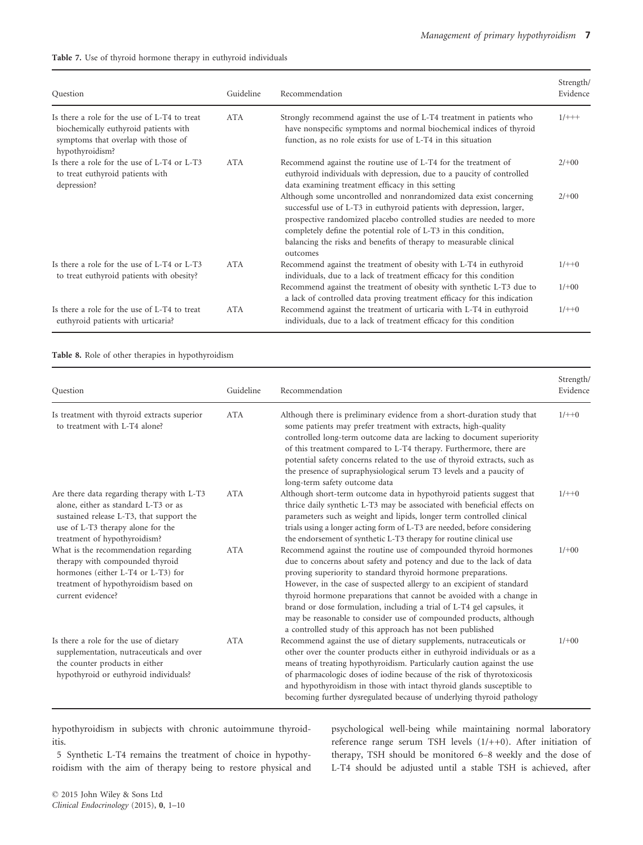| Question                                                                                                                                        | Guideline  | Recommendation                                                                                                                                                                                                                                                                                                                                                           | Strength/<br>Evidence |  |  |
|-------------------------------------------------------------------------------------------------------------------------------------------------|------------|--------------------------------------------------------------------------------------------------------------------------------------------------------------------------------------------------------------------------------------------------------------------------------------------------------------------------------------------------------------------------|-----------------------|--|--|
| Is there a role for the use of L-T4 to treat<br>biochemically euthyroid patients with<br>symptoms that overlap with those of<br>hypothyroidism? | <b>ATA</b> | Strongly recommend against the use of L-T4 treatment in patients who<br>have nonspecific symptoms and normal biochemical indices of thyroid<br>function, as no role exists for use of L-T4 in this situation                                                                                                                                                             | $1/+++$               |  |  |
| Is there a role for the use of L-T4 or L-T3<br>to treat euthyroid patients with<br>depression?                                                  | <b>ATA</b> | Recommend against the routine use of L-T4 for the treatment of<br>euthyroid individuals with depression, due to a paucity of controlled<br>data examining treatment efficacy in this setting                                                                                                                                                                             | $2/+00$               |  |  |
|                                                                                                                                                 |            | Although some uncontrolled and nonrandomized data exist concerning<br>successful use of L-T3 in euthyroid patients with depression, larger,<br>prospective randomized placebo controlled studies are needed to more<br>completely define the potential role of L-T3 in this condition,<br>balancing the risks and benefits of therapy to measurable clinical<br>outcomes |                       |  |  |
| Is there a role for the use of L-T4 or L-T3<br>to treat euthyroid patients with obesity?                                                        | <b>ATA</b> | Recommend against the treatment of obesity with L-T4 in euthyroid<br>individuals, due to a lack of treatment efficacy for this condition                                                                                                                                                                                                                                 |                       |  |  |
|                                                                                                                                                 |            | Recommend against the treatment of obesity with synthetic L-T3 due to<br>a lack of controlled data proving treatment efficacy for this indication                                                                                                                                                                                                                        | $1/+00$               |  |  |
| Is there a role for the use of L-T4 to treat<br>euthyroid patients with urticaria?                                                              | <b>ATA</b> | Recommend against the treatment of urticaria with L-T4 in euthyroid<br>individuals, due to a lack of treatment efficacy for this condition                                                                                                                                                                                                                               | $1/++0$               |  |  |

Table 8. Role of other therapies in hypothyroidism

| Ouestion                                                                                                                                                                                            | Guideline  | Recommendation                                                                                                                                                                                                                                                                                                                                                                                                                                                                                                                                                          | Strength/<br>Evidence |
|-----------------------------------------------------------------------------------------------------------------------------------------------------------------------------------------------------|------------|-------------------------------------------------------------------------------------------------------------------------------------------------------------------------------------------------------------------------------------------------------------------------------------------------------------------------------------------------------------------------------------------------------------------------------------------------------------------------------------------------------------------------------------------------------------------------|-----------------------|
| Is treatment with thyroid extracts superior<br>to treatment with L-T4 alone?                                                                                                                        | <b>ATA</b> | Although there is preliminary evidence from a short-duration study that<br>some patients may prefer treatment with extracts, high-quality<br>controlled long-term outcome data are lacking to document superiority<br>of this treatment compared to L-T4 therapy. Furthermore, there are<br>potential safety concerns related to the use of thyroid extracts, such as<br>the presence of supraphysiological serum T3 levels and a paucity of<br>long-term safety outcome data                                                                                           | $1/++0$               |
| Are there data regarding therapy with L-T3<br>alone, either as standard L-T3 or as<br>sustained release L-T3, that support the<br>use of L-T3 therapy alone for the<br>treatment of hypothyroidism? | <b>ATA</b> | Although short-term outcome data in hypothyroid patients suggest that<br>thrice daily synthetic L-T3 may be associated with beneficial effects on<br>parameters such as weight and lipids, longer term controlled clinical<br>trials using a longer acting form of L-T3 are needed, before considering<br>the endorsement of synthetic L-T3 therapy for routine clinical use                                                                                                                                                                                            | $1/++0$               |
| What is the recommendation regarding<br>therapy with compounded thyroid<br>hormones (either L-T4 or L-T3) for<br>treatment of hypothyroidism based on<br>current evidence?                          | <b>ATA</b> | Recommend against the routine use of compounded thyroid hormones<br>due to concerns about safety and potency and due to the lack of data<br>proving superiority to standard thyroid hormone preparations.<br>However, in the case of suspected allergy to an excipient of standard<br>thyroid hormone preparations that cannot be avoided with a change in<br>brand or dose formulation, including a trial of L-T4 gel capsules, it<br>may be reasonable to consider use of compounded products, although<br>a controlled study of this approach has not been published | $1/+00$               |
| Is there a role for the use of dietary<br>supplementation, nutraceuticals and over<br>the counter products in either<br>hypothyroid or euthyroid individuals?                                       | <b>ATA</b> | Recommend against the use of dietary supplements, nutraceuticals or<br>other over the counter products either in euthyroid individuals or as a<br>means of treating hypothyroidism. Particularly caution against the use<br>of pharmacologic doses of iodine because of the risk of thyrotoxicosis<br>and hypothyroidism in those with intact thyroid glands susceptible to<br>becoming further dysregulated because of underlying thyroid pathology                                                                                                                    | $1/+00$               |

hypothyroidism in subjects with chronic autoimmune thyroiditis.

5 Synthetic L-T4 remains the treatment of choice in hypothyroidism with the aim of therapy being to restore physical and

psychological well-being while maintaining normal laboratory reference range serum TSH levels (1/++0). After initiation of therapy, TSH should be monitored 6–8 weekly and the dose of L-T4 should be adjusted until a stable TSH is achieved, after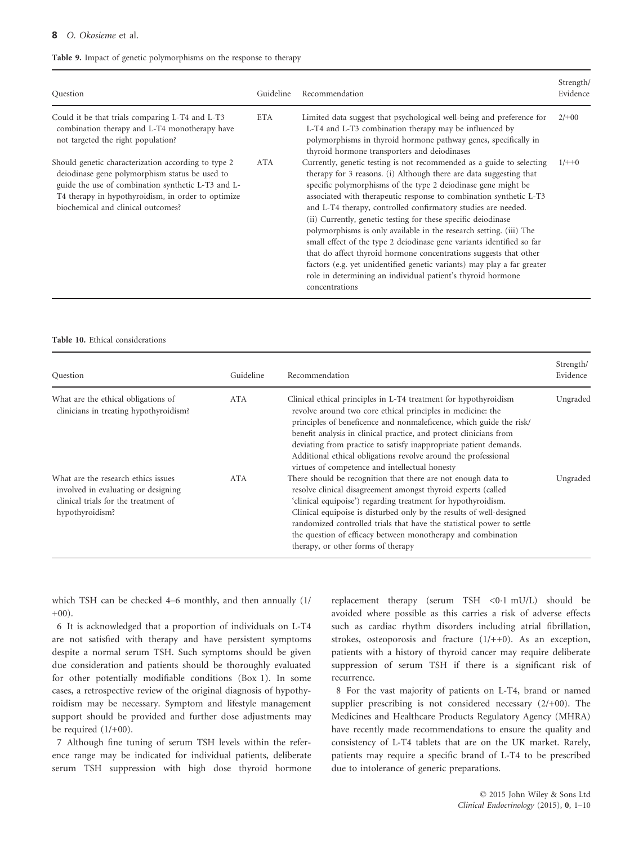#### 8 O. Okosieme et al.

|  |  |  | Table 9. Impact of genetic polymorphisms on the response to therapy |  |  |  |  |
|--|--|--|---------------------------------------------------------------------|--|--|--|--|
|--|--|--|---------------------------------------------------------------------|--|--|--|--|

| Question                                                                                                                                                                                                                                                | Guideline  | Recommendation                                                                                                                                                                                                                                                                                                                                                                                                                                                                                                                                                                                                                                                                                                                                                                                       | Strength/<br>Evidence |
|---------------------------------------------------------------------------------------------------------------------------------------------------------------------------------------------------------------------------------------------------------|------------|------------------------------------------------------------------------------------------------------------------------------------------------------------------------------------------------------------------------------------------------------------------------------------------------------------------------------------------------------------------------------------------------------------------------------------------------------------------------------------------------------------------------------------------------------------------------------------------------------------------------------------------------------------------------------------------------------------------------------------------------------------------------------------------------------|-----------------------|
| Could it be that trials comparing L-T4 and L-T3<br>combination therapy and L-T4 monotherapy have<br>not targeted the right population?                                                                                                                  | <b>ETA</b> | Limited data suggest that psychological well-being and preference for<br>L-T4 and L-T3 combination therapy may be influenced by<br>polymorphisms in thyroid hormone pathway genes, specifically in<br>thyroid hormone transporters and deiodinases                                                                                                                                                                                                                                                                                                                                                                                                                                                                                                                                                   | $2/+00$               |
| Should genetic characterization according to type 2<br>deiodinase gene polymorphism status be used to<br>guide the use of combination synthetic L-T3 and L-<br>T4 therapy in hypothyroidism, in order to optimize<br>biochemical and clinical outcomes? | <b>ATA</b> | Currently, genetic testing is not recommended as a guide to selecting<br>therapy for 3 reasons. (i) Although there are data suggesting that<br>specific polymorphisms of the type 2 deiodinase gene might be<br>associated with therapeutic response to combination synthetic L-T3<br>and L-T4 therapy, controlled confirmatory studies are needed.<br>(ii) Currently, genetic testing for these specific deiodinase<br>polymorphisms is only available in the research setting. (iii) The<br>small effect of the type 2 deiodinase gene variants identified so far<br>that do affect thyroid hormone concentrations suggests that other<br>factors (e.g. yet unidentified genetic variants) may play a far greater<br>role in determining an individual patient's thyroid hormone<br>concentrations | $1/++0$               |

#### Table 10. Ethical considerations

| Question                                                                                                                              | Guideline  | Recommendation                                                                                                                                                                                                                                                                                                                                                                                                                                                        | Strength/<br>Evidence |
|---------------------------------------------------------------------------------------------------------------------------------------|------------|-----------------------------------------------------------------------------------------------------------------------------------------------------------------------------------------------------------------------------------------------------------------------------------------------------------------------------------------------------------------------------------------------------------------------------------------------------------------------|-----------------------|
| What are the ethical obligations of<br>clinicians in treating hypothyroidism?                                                         | <b>ATA</b> | Clinical ethical principles in L-T4 treatment for hypothyroidism<br>revolve around two core ethical principles in medicine: the<br>principles of beneficence and nonmaleficence, which guide the risk/<br>benefit analysis in clinical practice, and protect clinicians from<br>deviating from practice to satisfy inappropriate patient demands.<br>Additional ethical obligations revolve around the professional<br>virtues of competence and intellectual honesty | Ungraded              |
| What are the research ethics issues<br>involved in evaluating or designing<br>clinical trials for the treatment of<br>hypothyroidism? | <b>ATA</b> | There should be recognition that there are not enough data to<br>resolve clinical disagreement amongst thyroid experts (called<br>'clinical equipoise') regarding treatment for hypothyroidism.<br>Clinical equipoise is disturbed only by the results of well-designed<br>randomized controlled trials that have the statistical power to settle<br>the question of efficacy between monotherapy and combination<br>therapy, or other forms of therapy               | Ungraded              |

which TSH can be checked 4–6 monthly, and then annually (1/  $+00$ ).

6 It is acknowledged that a proportion of individuals on L-T4 are not satisfied with therapy and have persistent symptoms despite a normal serum TSH. Such symptoms should be given due consideration and patients should be thoroughly evaluated for other potentially modifiable conditions (Box 1). In some cases, a retrospective review of the original diagnosis of hypothyroidism may be necessary. Symptom and lifestyle management support should be provided and further dose adjustments may be required  $(1/+00)$ .

7 Although fine tuning of serum TSH levels within the reference range may be indicated for individual patients, deliberate serum TSH suppression with high dose thyroid hormone replacement therapy (serum TSH <01 mU/L) should be avoided where possible as this carries a risk of adverse effects such as cardiac rhythm disorders including atrial fibrillation, strokes, osteoporosis and fracture (1/++0). As an exception, patients with a history of thyroid cancer may require deliberate suppression of serum TSH if there is a significant risk of recurrence.

8 For the vast majority of patients on L-T4, brand or named supplier prescribing is not considered necessary (2/+00). The Medicines and Healthcare Products Regulatory Agency (MHRA) have recently made recommendations to ensure the quality and consistency of L-T4 tablets that are on the UK market. Rarely, patients may require a specific brand of L-T4 to be prescribed due to intolerance of generic preparations.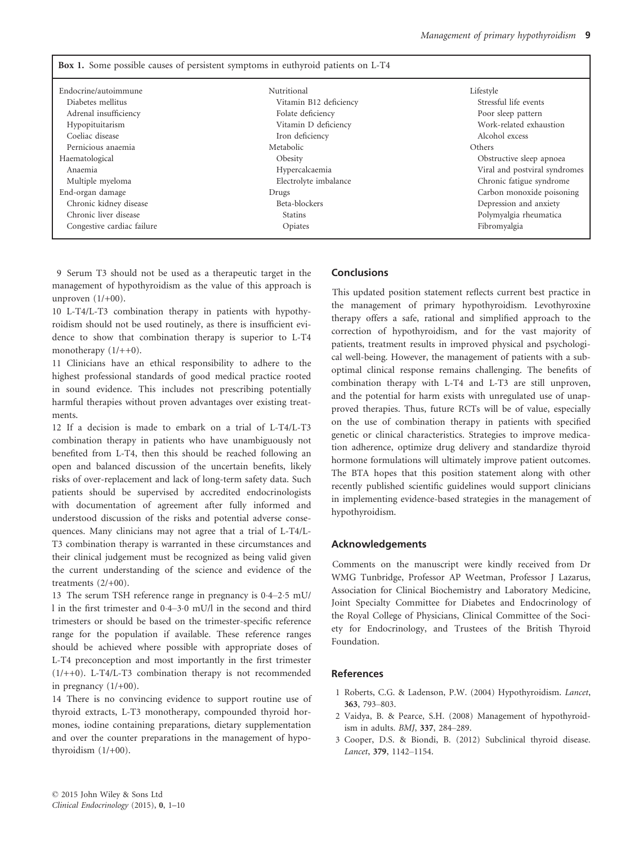| <b>Box 1.</b> Some possible causes of persistent symptoms in euthyroid patients on L-T4 |                        |                               |  |  |  |
|-----------------------------------------------------------------------------------------|------------------------|-------------------------------|--|--|--|
| Endocrine/autoimmune                                                                    | Nutritional            | Lifestyle                     |  |  |  |
| Diabetes mellitus                                                                       | Vitamin B12 deficiency | Stressful life events         |  |  |  |
| Adrenal insufficiency                                                                   | Folate deficiency      | Poor sleep pattern            |  |  |  |
| Hypopituitarism                                                                         | Vitamin D deficiency   | Work-related exhaustion       |  |  |  |
| Coeliac disease                                                                         | Iron deficiency        | Alcohol excess                |  |  |  |
| Pernicious anaemia                                                                      | Metabolic              | Others                        |  |  |  |
| Haematological                                                                          | Obesity                | Obstructive sleep apnoea      |  |  |  |
| Anaemia                                                                                 | Hypercalcaemia         | Viral and postviral syndromes |  |  |  |
| Multiple myeloma                                                                        | Electrolyte imbalance  | Chronic fatigue syndrome      |  |  |  |
| End-organ damage                                                                        | Drugs                  | Carbon monoxide poisoning     |  |  |  |
| Chronic kidney disease                                                                  | Beta-blockers          | Depression and anxiety        |  |  |  |
| Chronic liver disease                                                                   | <b>Statins</b>         | Polymyalgia rheumatica        |  |  |  |
| Congestive cardiac failure                                                              | Opiates                | Fibromyalgia                  |  |  |  |

9 Serum T3 should not be used as a therapeutic target in the management of hypothyroidism as the value of this approach is unproven  $(1/+00)$ .

10 L-T4/L-T3 combination therapy in patients with hypothyroidism should not be used routinely, as there is insufficient evidence to show that combination therapy is superior to L-T4 monotherapy  $(1/++0)$ .

11 Clinicians have an ethical responsibility to adhere to the highest professional standards of good medical practice rooted in sound evidence. This includes not prescribing potentially harmful therapies without proven advantages over existing treatments.

12 If a decision is made to embark on a trial of L-T4/L-T3 combination therapy in patients who have unambiguously not benefited from L-T4, then this should be reached following an open and balanced discussion of the uncertain benefits, likely risks of over-replacement and lack of long-term safety data. Such patients should be supervised by accredited endocrinologists with documentation of agreement after fully informed and understood discussion of the risks and potential adverse consequences. Many clinicians may not agree that a trial of L-T4/L-T3 combination therapy is warranted in these circumstances and their clinical judgement must be recognized as being valid given the current understanding of the science and evidence of the treatments (2/+00).

13 The serum TSH reference range in pregnancy is 04–25 mU/ l in the first trimester and 04–30 mU/l in the second and third trimesters or should be based on the trimester-specific reference range for the population if available. These reference ranges should be achieved where possible with appropriate doses of L-T4 preconception and most importantly in the first trimester (1/++0). L-T4/L-T3 combination therapy is not recommended in pregnancy (1/+00).

14 There is no convincing evidence to support routine use of thyroid extracts, L-T3 monotherapy, compounded thyroid hormones, iodine containing preparations, dietary supplementation and over the counter preparations in the management of hypothyroidism  $(1/+00)$ .

### **Conclusions**

This updated position statement reflects current best practice in the management of primary hypothyroidism. Levothyroxine therapy offers a safe, rational and simplified approach to the correction of hypothyroidism, and for the vast majority of patients, treatment results in improved physical and psychological well-being. However, the management of patients with a suboptimal clinical response remains challenging. The benefits of combination therapy with L-T4 and L-T3 are still unproven, and the potential for harm exists with unregulated use of unapproved therapies. Thus, future RCTs will be of value, especially on the use of combination therapy in patients with specified genetic or clinical characteristics. Strategies to improve medication adherence, optimize drug delivery and standardize thyroid hormone formulations will ultimately improve patient outcomes. The BTA hopes that this position statement along with other recently published scientific guidelines would support clinicians in implementing evidence-based strategies in the management of hypothyroidism.

#### Acknowledgements

Comments on the manuscript were kindly received from Dr WMG Tunbridge, Professor AP Weetman, Professor J Lazarus, Association for Clinical Biochemistry and Laboratory Medicine, Joint Specialty Committee for Diabetes and Endocrinology of the Royal College of Physicians, Clinical Committee of the Society for Endocrinology, and Trustees of the British Thyroid Foundation.

#### References

- 1 Roberts, C.G. & Ladenson, P.W. (2004) Hypothyroidism. Lancet, 363, 793–803.
- 2 Vaidya, B. & Pearce, S.H. (2008) Management of hypothyroidism in adults. BMJ, 337, 284–289.
- 3 Cooper, D.S. & Biondi, B. (2012) Subclinical thyroid disease. Lancet, 379, 1142–1154.